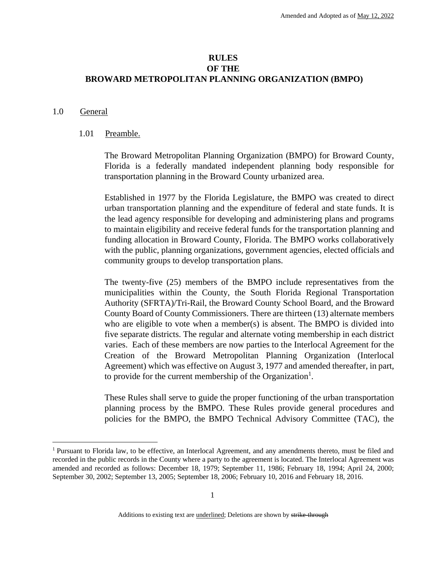# **RULES OF THE BROWARD METROPOLITAN PLANNING ORGANIZATION (BMPO)**

#### 1.0 General

 $\overline{a}$ 

#### 1.01 Preamble.

The Broward Metropolitan Planning Organization (BMPO) for Broward County, Florida is a federally mandated independent planning body responsible for transportation planning in the Broward County urbanized area.

Established in 1977 by the Florida Legislature, the BMPO was created to direct urban transportation planning and the expenditure of federal and state funds. It is the lead agency responsible for developing and administering plans and programs to maintain eligibility and receive federal funds for the transportation planning and funding allocation in Broward County, Florida. The BMPO works collaboratively with the public, planning organizations, government agencies, elected officials and community groups to develop transportation plans.

The twenty-five (25) members of the BMPO include representatives from the municipalities within the County, the South Florida Regional Transportation Authority (SFRTA)/Tri-Rail, the Broward County School Board, and the Broward County Board of County Commissioners. There are thirteen (13) alternate members who are eligible to vote when a member(s) is absent. The BMPO is divided into five separate districts. The regular and alternate voting membership in each district varies. Each of these members are now parties to the Interlocal Agreement for the Creation of the Broward Metropolitan Planning Organization (Interlocal Agreement) which was effective on August 3, 1977 and amended thereafter, in part, to provide for the current membership of the Organization<sup>1</sup>.

These Rules shall serve to guide the proper functioning of the urban transportation planning process by the BMPO. These Rules provide general procedures and policies for the BMPO, the BMPO Technical Advisory Committee (TAC), the

<sup>1</sup> Pursuant to Florida law, to be effective, an Interlocal Agreement, and any amendments thereto, must be filed and recorded in the public records in the County where a party to the agreement is located. The Interlocal Agreement was amended and recorded as follows: December 18, 1979; September 11, 1986; February 18, 1994; April 24, 2000; September 30, 2002; September 13, 2005; September 18, 2006; February 10, 2016 and February 18, 2016.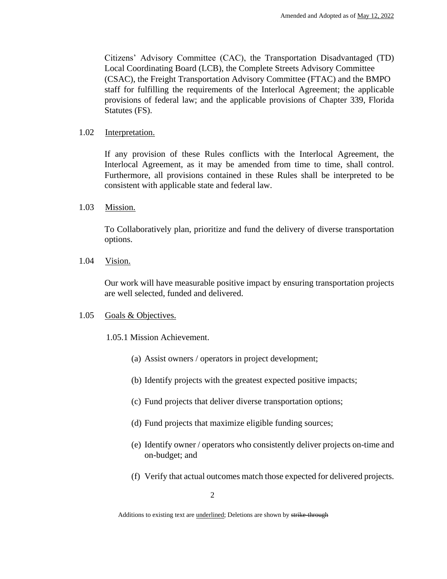Citizens' Advisory Committee (CAC), the Transportation Disadvantaged (TD) Local Coordinating Board (LCB), the Complete Streets Advisory Committee (CSAC), the Freight Transportation Advisory Committee (FTAC) and the BMPO staff for fulfilling the requirements of the Interlocal Agreement; the applicable provisions of federal law; and the applicable provisions of Chapter 339, Florida Statutes (FS).

#### 1.02 Interpretation.

If any provision of these Rules conflicts with the Interlocal Agreement, the Interlocal Agreement, as it may be amended from time to time, shall control. Furthermore, all provisions contained in these Rules shall be interpreted to be consistent with applicable state and federal law.

1.03 Mission.

To Collaboratively plan, prioritize and fund the delivery of diverse transportation options.

1.04 Vision.

Our work will have measurable positive impact by ensuring transportation projects are well selected, funded and delivered.

# 1.05 Goals & Objectives.

- 1.05.1 Mission Achievement.
	- (a) Assist owners / operators in project development;
	- (b) Identify projects with the greatest expected positive impacts;
	- (c) Fund projects that deliver diverse transportation options;
	- (d) Fund projects that maximize eligible funding sources;
	- (e) Identify owner / operators who consistently deliver projects on-time and on-budget; and
	- (f) Verify that actual outcomes match those expected for delivered projects.

Additions to existing text are *underlined*; Deletions are shown by strike-through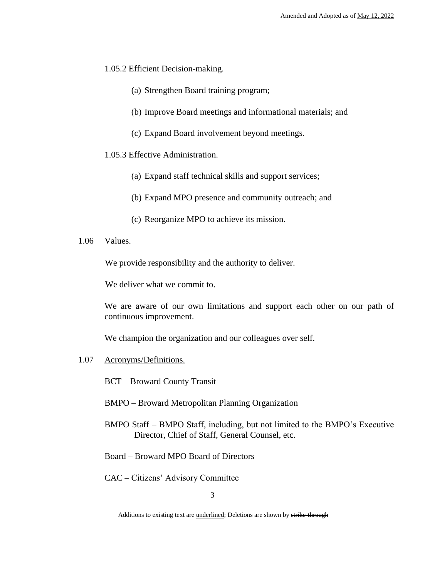- 1.05.2 Efficient Decision-making.
	- (a) Strengthen Board training program;
	- (b) Improve Board meetings and informational materials; and
	- (c) Expand Board involvement beyond meetings.
- 1.05.3 Effective Administration.
	- (a) Expand staff technical skills and support services;
	- (b) Expand MPO presence and community outreach; and
	- (c) Reorganize MPO to achieve its mission.
- 1.06 Values.

We provide responsibility and the authority to deliver.

We deliver what we commit to.

We are aware of our own limitations and support each other on our path of continuous improvement.

We champion the organization and our colleagues over self.

1.07 Acronyms/Definitions.

BCT – Broward County Transit

BMPO – Broward Metropolitan Planning Organization

- BMPO Staff BMPO Staff, including, but not limited to the BMPO's Executive Director, Chief of Staff, General Counsel, etc.
- Board Broward MPO Board of Directors

CAC – Citizens' Advisory Committee

Additions to existing text are *underlined*; Deletions are shown by strike-through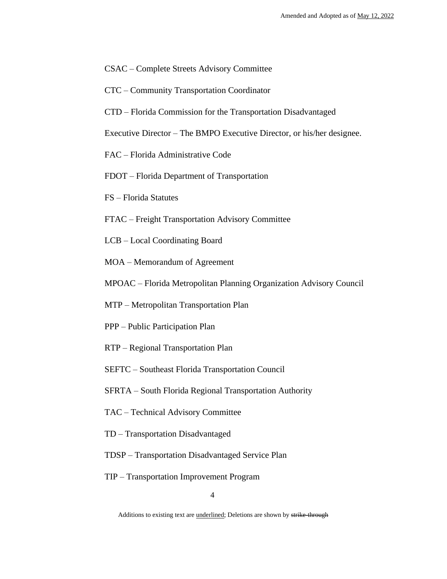- CSAC Complete Streets Advisory Committee
- CTC Community Transportation Coordinator
- CTD Florida Commission for the Transportation Disadvantaged
- Executive Director The BMPO Executive Director, or his/her designee.
- FAC Florida Administrative Code
- FDOT Florida Department of Transportation
- FS Florida Statutes
- FTAC Freight Transportation Advisory Committee
- LCB Local Coordinating Board
- MOA Memorandum of Agreement
- MPOAC Florida Metropolitan Planning Organization Advisory Council
- MTP Metropolitan Transportation Plan
- PPP Public Participation Plan
- RTP Regional Transportation Plan
- SEFTC Southeast Florida Transportation Council
- SFRTA South Florida Regional Transportation Authority
- TAC Technical Advisory Committee
- TD Transportation Disadvantaged
- TDSP Transportation Disadvantaged Service Plan
- TIP Transportation Improvement Program

Additions to existing text are *underlined*; Deletions are shown by strike-through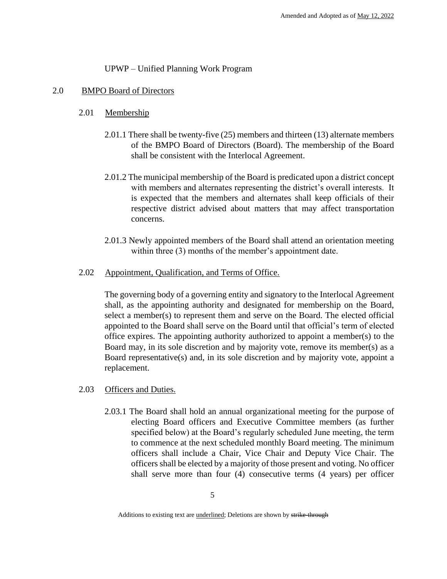# UPWP – Unified Planning Work Program

# 2.0 BMPO Board of Directors

# 2.01 Membership

- 2.01.1 There shall be twenty-five (25) members and thirteen (13) alternate members of the BMPO Board of Directors (Board). The membership of the Board shall be consistent with the Interlocal Agreement.
- 2.01.2 The municipal membership of the Board is predicated upon a district concept with members and alternates representing the district's overall interests. It is expected that the members and alternates shall keep officials of their respective district advised about matters that may affect transportation concerns.
- 2.01.3 Newly appointed members of the Board shall attend an orientation meeting within three (3) months of the member's appointment date.
- 2.02 Appointment, Qualification, and Terms of Office.

The governing body of a governing entity and signatory to the Interlocal Agreement shall, as the appointing authority and designated for membership on the Board, select a member(s) to represent them and serve on the Board. The elected official appointed to the Board shall serve on the Board until that official's term of elected office expires. The appointing authority authorized to appoint a member(s) to the Board may, in its sole discretion and by majority vote, remove its member(s) as a Board representative(s) and, in its sole discretion and by majority vote, appoint a replacement.

- 2.03 Officers and Duties.
	- 2.03.1 The Board shall hold an annual organizational meeting for the purpose of electing Board officers and Executive Committee members (as further specified below) at the Board's regularly scheduled June meeting, the term to commence at the next scheduled monthly Board meeting. The minimum officers shall include a Chair, Vice Chair and Deputy Vice Chair. The officers shall be elected by a majority of those present and voting. No officer shall serve more than four (4) consecutive terms (4 years) per officer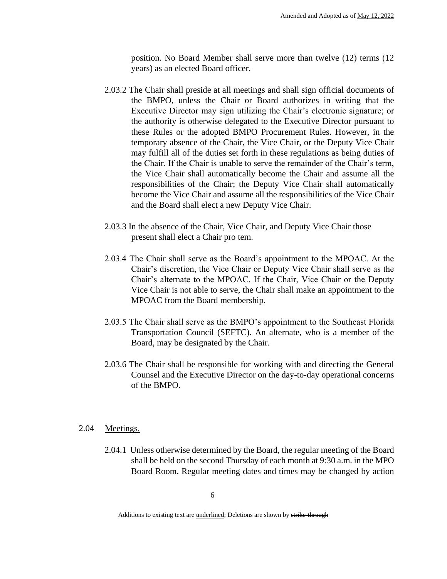position. No Board Member shall serve more than twelve (12) terms (12 years) as an elected Board officer.

- 2.03.2 The Chair shall preside at all meetings and shall sign official documents of the BMPO, unless the Chair or Board authorizes in writing that the Executive Director may sign utilizing the Chair's electronic signature; or the authority is otherwise delegated to the Executive Director pursuant to these Rules or the adopted BMPO Procurement Rules. However, in the temporary absence of the Chair, the Vice Chair, or the Deputy Vice Chair may fulfill all of the duties set forth in these regulations as being duties of the Chair. If the Chair is unable to serve the remainder of the Chair's term, the Vice Chair shall automatically become the Chair and assume all the responsibilities of the Chair; the Deputy Vice Chair shall automatically become the Vice Chair and assume all the responsibilities of the Vice Chair and the Board shall elect a new Deputy Vice Chair.
- 2.03.3 In the absence of the Chair, Vice Chair, and Deputy Vice Chair those present shall elect a Chair pro tem.
- 2.03.4 The Chair shall serve as the Board's appointment to the MPOAC. At the Chair's discretion, the Vice Chair or Deputy Vice Chair shall serve as the Chair's alternate to the MPOAC. If the Chair, Vice Chair or the Deputy Vice Chair is not able to serve, the Chair shall make an appointment to the MPOAC from the Board membership.
- 2.03.5 The Chair shall serve as the BMPO's appointment to the Southeast Florida Transportation Council (SEFTC). An alternate, who is a member of the Board, may be designated by the Chair.
- 2.03.6 The Chair shall be responsible for working with and directing the General Counsel and the Executive Director on the day-to-day operational concerns of the BMPO.

#### 2.04 Meetings.

2.04.1 Unless otherwise determined by the Board, the regular meeting of the Board shall be held on the second Thursday of each month at 9:30 a.m. in the MPO Board Room. Regular meeting dates and times may be changed by action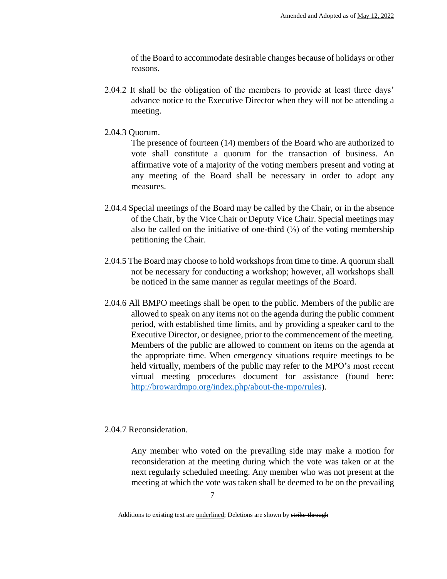of the Board to accommodate desirable changes because of holidays or other reasons.

- 2.04.2 It shall be the obligation of the members to provide at least three days' advance notice to the Executive Director when they will not be attending a meeting.
- 2.04.3 Quorum.

The presence of fourteen (14) members of the Board who are authorized to vote shall constitute a quorum for the transaction of business. An affirmative vote of a majority of the voting members present and voting at any meeting of the Board shall be necessary in order to adopt any measures.

- 2.04.4 Special meetings of the Board may be called by the Chair, or in the absence of the Chair, by the Vice Chair or Deputy Vice Chair. Special meetings may also be called on the initiative of one-third (⅓) of the voting membership petitioning the Chair.
- 2.04.5 The Board may choose to hold workshops from time to time. A quorum shall not be necessary for conducting a workshop; however, all workshops shall be noticed in the same manner as regular meetings of the Board.
- 2.04.6 All BMPO meetings shall be open to the public. Members of the public are allowed to speak on any items not on the agenda during the public comment period, with established time limits, and by providing a speaker card to the Executive Director, or designee, prior to the commencement of the meeting. Members of the public are allowed to comment on items on the agenda at the appropriate time. When emergency situations require meetings to be held virtually, members of the public may refer to the MPO's most recent virtual meeting procedures document for assistance (found here: http://browardmpo.org/index.php/about-the-mpo/rules).

#### 2.04.7 Reconsideration.

Any member who voted on the prevailing side may make a motion for reconsideration at the meeting during which the vote was taken or at the next regularly scheduled meeting. Any member who was not present at the meeting at which the vote was taken shall be deemed to be on the prevailing

Additions to existing text are *underlined*; Deletions are shown by strike-through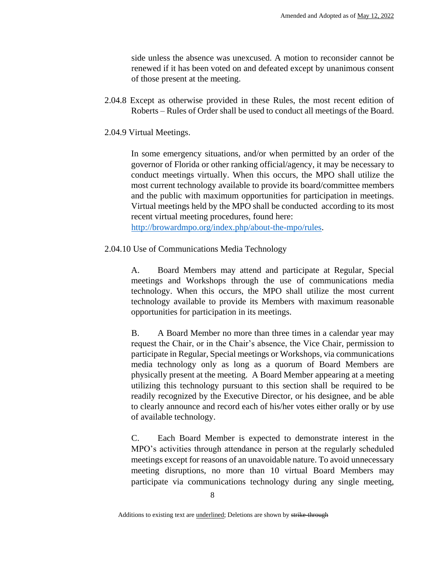side unless the absence was unexcused. A motion to reconsider cannot be renewed if it has been voted on and defeated except by unanimous consent of those present at the meeting.

- 2.04.8 Except as otherwise provided in these Rules, the most recent edition of Roberts – Rules of Order shall be used to conduct all meetings of the Board.
- 2.04.9 Virtual Meetings.

In some emergency situations, and/or when permitted by an order of the governor of Florida or other ranking official/agency, it may be necessary to conduct meetings virtually. When this occurs, the MPO shall utilize the most current technology available to provide its board/committee members and the public with maximum opportunities for participation in meetings. Virtual meetings held by the MPO shall be conducted according to its most recent virtual meeting procedures, found here:

http://browardmpo.org/index.php/about-the-mpo/rules.

2.04.10 Use of Communications Media Technology

A. Board Members may attend and participate at Regular, Special meetings and Workshops through the use of communications media technology. When this occurs, the MPO shall utilize the most current technology available to provide its Members with maximum reasonable opportunities for participation in its meetings.

B. A Board Member no more than three times in a calendar year may request the Chair, or in the Chair's absence, the Vice Chair, permission to participate in Regular, Special meetings or Workshops, via communications media technology only as long as a quorum of Board Members are physically present at the meeting. A Board Member appearing at a meeting utilizing this technology pursuant to this section shall be required to be readily recognized by the Executive Director, or his designee, and be able to clearly announce and record each of his/her votes either orally or by use of available technology.

C. Each Board Member is expected to demonstrate interest in the MPO's activities through attendance in person at the regularly scheduled meetings except for reasons of an unavoidable nature. To avoid unnecessary meeting disruptions, no more than 10 virtual Board Members may participate via communications technology during any single meeting,

Additions to existing text are *underlined*; Deletions are shown by strike-through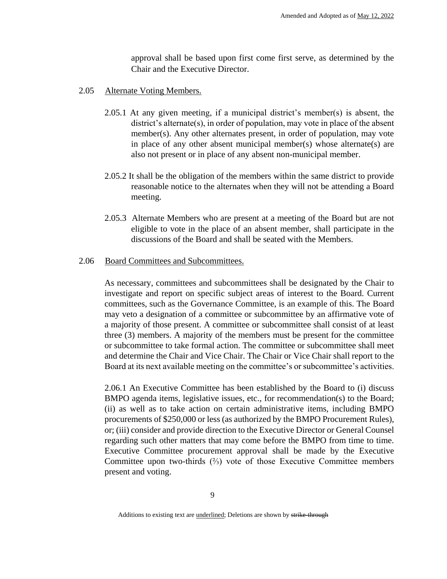approval shall be based upon first come first serve, as determined by the Chair and the Executive Director.

- 2.05 Alternate Voting Members.
	- 2.05.1 At any given meeting, if a municipal district's member(s) is absent, the district's alternate(s), in order of population, may vote in place of the absent member(s). Any other alternates present, in order of population, may vote in place of any other absent municipal member(s) whose alternate(s) are also not present or in place of any absent non-municipal member.
	- 2.05.2 It shall be the obligation of the members within the same district to provide reasonable notice to the alternates when they will not be attending a Board meeting.
	- 2.05.3 Alternate Members who are present at a meeting of the Board but are not eligible to vote in the place of an absent member, shall participate in the discussions of the Board and shall be seated with the Members.

#### 2.06 Board Committees and Subcommittees.

As necessary, committees and subcommittees shall be designated by the Chair to investigate and report on specific subject areas of interest to the Board. Current committees, such as the Governance Committee, is an example of this. The Board may veto a designation of a committee or subcommittee by an affirmative vote of a majority of those present. A committee or subcommittee shall consist of at least three (3) members. A majority of the members must be present for the committee or subcommittee to take formal action. The committee or subcommittee shall meet and determine the Chair and Vice Chair. The Chair or Vice Chair shall report to the Board at its next available meeting on the committee's or subcommittee's activities.

2.06.1 An Executive Committee has been established by the Board to (i) discuss BMPO agenda items, legislative issues, etc., for recommendation(s) to the Board; (ii) as well as to take action on certain administrative items, including BMPO procurements of \$250,000 or less (as authorized by the BMPO Procurement Rules), or; (iii) consider and provide direction to the Executive Director or General Counsel regarding such other matters that may come before the BMPO from time to time. Executive Committee procurement approval shall be made by the Executive Committee upon two-thirds  $\binom{2}{3}$  vote of those Executive Committee members present and voting.

Additions to existing text are *underlined*; Deletions are shown by strike-through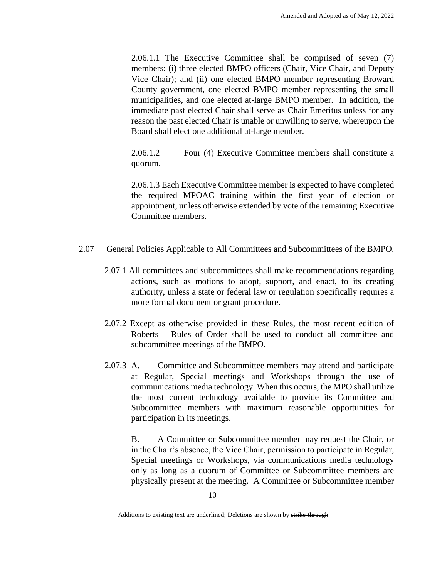2.06.1.1 The Executive Committee shall be comprised of seven (7) members: (i) three elected BMPO officers (Chair, Vice Chair, and Deputy Vice Chair); and (ii) one elected BMPO member representing Broward County government, one elected BMPO member representing the small municipalities, and one elected at-large BMPO member. In addition, the immediate past elected Chair shall serve as Chair Emeritus unless for any reason the past elected Chair is unable or unwilling to serve, whereupon the Board shall elect one additional at-large member.

2.06.1.2 Four (4) Executive Committee members shall constitute a quorum.

2.06.1.3 Each Executive Committee member is expected to have completed the required MPOAC training within the first year of election or appointment, unless otherwise extended by vote of the remaining Executive Committee members.

# 2.07 General Policies Applicable to All Committees and Subcommittees of the BMPO.

- 2.07.1 All committees and subcommittees shall make recommendations regarding actions, such as motions to adopt, support, and enact, to its creating authority, unless a state or federal law or regulation specifically requires a more formal document or grant procedure.
- 2.07.2 Except as otherwise provided in these Rules, the most recent edition of Roberts – Rules of Order shall be used to conduct all committee and subcommittee meetings of the BMPO.
- 2.07.3 A. Committee and Subcommittee members may attend and participate at Regular, Special meetings and Workshops through the use of communications media technology. When this occurs, the MPO shall utilize the most current technology available to provide its Committee and Subcommittee members with maximum reasonable opportunities for participation in its meetings.

B. A Committee or Subcommittee member may request the Chair, or in the Chair's absence, the Vice Chair, permission to participate in Regular, Special meetings or Workshops, via communications media technology only as long as a quorum of Committee or Subcommittee members are physically present at the meeting. A Committee or Subcommittee member

Additions to existing text are *underlined*; Deletions are shown by strike-through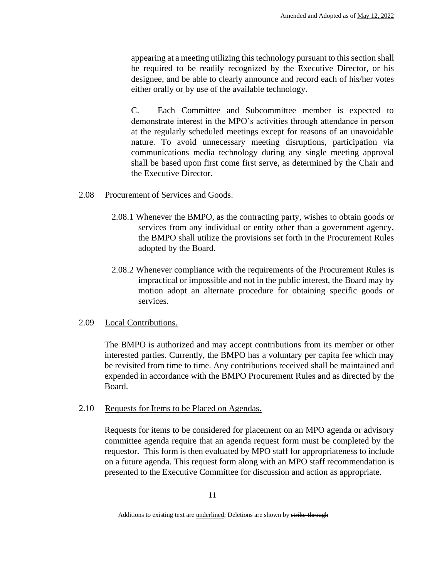appearing at a meeting utilizing this technology pursuant to this section shall be required to be readily recognized by the Executive Director, or his designee, and be able to clearly announce and record each of his/her votes either orally or by use of the available technology.

C. Each Committee and Subcommittee member is expected to demonstrate interest in the MPO's activities through attendance in person at the regularly scheduled meetings except for reasons of an unavoidable nature. To avoid unnecessary meeting disruptions, participation via communications media technology during any single meeting approval shall be based upon first come first serve, as determined by the Chair and the Executive Director.

#### 2.08 Procurement of Services and Goods.

- 2.08.1 Whenever the BMPO, as the contracting party, wishes to obtain goods or services from any individual or entity other than a government agency, the BMPO shall utilize the provisions set forth in the Procurement Rules adopted by the Board.
- 2.08.2 Whenever compliance with the requirements of the Procurement Rules is impractical or impossible and not in the public interest, the Board may by motion adopt an alternate procedure for obtaining specific goods or services.

#### 2.09 Local Contributions.

The BMPO is authorized and may accept contributions from its member or other interested parties. Currently, the BMPO has a voluntary per capita fee which may be revisited from time to time. Any contributions received shall be maintained and expended in accordance with the BMPO Procurement Rules and as directed by the Board.

# 2.10 Requests for Items to be Placed on Agendas.

Requests for items to be considered for placement on an MPO agenda or advisory committee agenda require that an agenda request form must be completed by the requestor. This form is then evaluated by MPO staff for appropriateness to include on a future agenda. This request form along with an MPO staff recommendation is presented to the Executive Committee for discussion and action as appropriate.

Additions to existing text are *underlined*; Deletions are shown by strike-through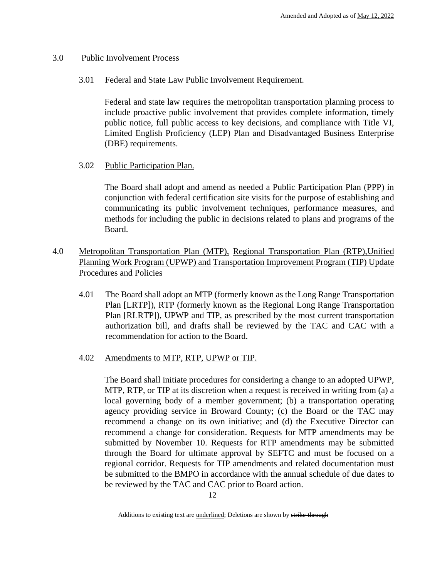#### 3.0 Public Involvement Process

#### 3.01 Federal and State Law Public Involvement Requirement.

Federal and state law requires the metropolitan transportation planning process to include proactive public involvement that provides complete information, timely public notice, full public access to key decisions, and compliance with Title VI, Limited English Proficiency (LEP) Plan and Disadvantaged Business Enterprise (DBE) requirements.

# 3.02 Public Participation Plan.

The Board shall adopt and amend as needed a Public Participation Plan (PPP) in conjunction with federal certification site visits for the purpose of establishing and communicating its public involvement techniques, performance measures, and methods for including the public in decisions related to plans and programs of the Board.

# 4.0 Metropolitan Transportation Plan (MTP), Regional Transportation Plan (RTP),Unified Planning Work Program (UPWP) and Transportation Improvement Program (TIP) Update Procedures and Policies

4.01 The Board shall adopt an MTP (formerly known as the Long Range Transportation Plan [LRTP]), RTP (formerly known as the Regional Long Range Transportation Plan [RLRTP]), UPWP and TIP, as prescribed by the most current transportation authorization bill, and drafts shall be reviewed by the TAC and CAC with a recommendation for action to the Board.

# 4.02 Amendments to MTP, RTP, UPWP or TIP.

The Board shall initiate procedures for considering a change to an adopted UPWP, MTP, RTP, or TIP at its discretion when a request is received in writing from (a) a local governing body of a member government; (b) a transportation operating agency providing service in Broward County; (c) the Board or the TAC may recommend a change on its own initiative; and (d) the Executive Director can recommend a change for consideration. Requests for MTP amendments may be submitted by November 10. Requests for RTP amendments may be submitted through the Board for ultimate approval by SEFTC and must be focused on a regional corridor. Requests for TIP amendments and related documentation must be submitted to the BMPO in accordance with the annual schedule of due dates to be reviewed by the TAC and CAC prior to Board action.

Additions to existing text are *underlined*; Deletions are shown by strike-through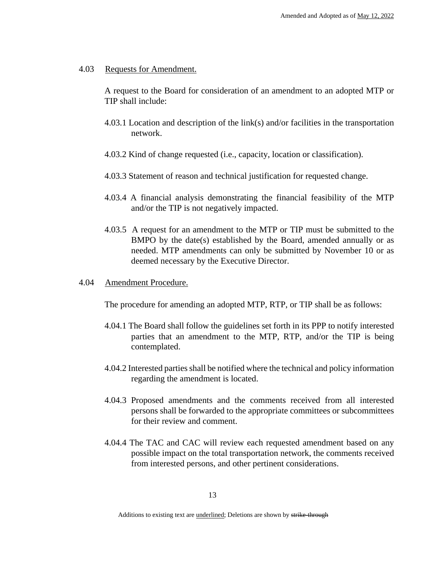#### 4.03 Requests for Amendment.

A request to the Board for consideration of an amendment to an adopted MTP or TIP shall include:

- 4.03.1 Location and description of the link(s) and/or facilities in the transportation network.
- 4.03.2 Kind of change requested (i.e., capacity, location or classification).
- 4.03.3 Statement of reason and technical justification for requested change.
- 4.03.4 A financial analysis demonstrating the financial feasibility of the MTP and/or the TIP is not negatively impacted.
- 4.03.5 A request for an amendment to the MTP or TIP must be submitted to the BMPO by the date(s) established by the Board, amended annually or as needed. MTP amendments can only be submitted by November 10 or as deemed necessary by the Executive Director.
- 4.04 Amendment Procedure.

The procedure for amending an adopted MTP, RTP, or TIP shall be as follows:

- 4.04.1 The Board shall follow the guidelines set forth in its PPP to notify interested parties that an amendment to the MTP, RTP, and/or the TIP is being contemplated.
- 4.04.2 Interested parties shall be notified where the technical and policy information regarding the amendment is located.
- 4.04.3 Proposed amendments and the comments received from all interested persons shall be forwarded to the appropriate committees or subcommittees for their review and comment.
- 4.04.4 The TAC and CAC will review each requested amendment based on any possible impact on the total transportation network, the comments received from interested persons, and other pertinent considerations.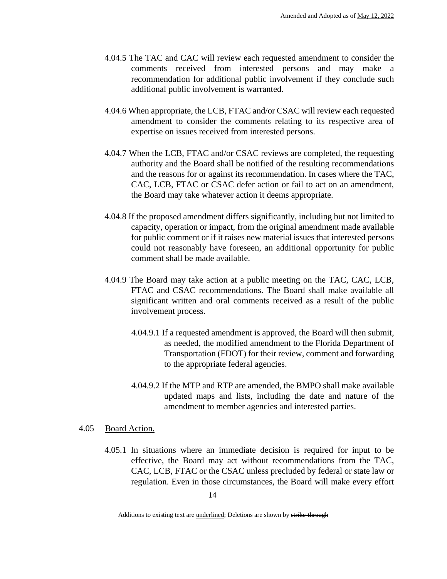- 4.04.5 The TAC and CAC will review each requested amendment to consider the comments received from interested persons and may make a recommendation for additional public involvement if they conclude such additional public involvement is warranted.
- 4.04.6 When appropriate, the LCB, FTAC and/or CSAC will review each requested amendment to consider the comments relating to its respective area of expertise on issues received from interested persons.
- 4.04.7 When the LCB, FTAC and/or CSAC reviews are completed, the requesting authority and the Board shall be notified of the resulting recommendations and the reasons for or against its recommendation. In cases where the TAC, CAC, LCB, FTAC or CSAC defer action or fail to act on an amendment, the Board may take whatever action it deems appropriate.
- 4.04.8 If the proposed amendment differs significantly, including but not limited to capacity, operation or impact, from the original amendment made available for public comment or if it raises new material issues that interested persons could not reasonably have foreseen, an additional opportunity for public comment shall be made available.
- 4.04.9 The Board may take action at a public meeting on the TAC, CAC, LCB, FTAC and CSAC recommendations. The Board shall make available all significant written and oral comments received as a result of the public involvement process.
	- 4.04.9.1 If a requested amendment is approved, the Board will then submit, as needed, the modified amendment to the Florida Department of Transportation (FDOT) for their review, comment and forwarding to the appropriate federal agencies.
	- 4.04.9.2 If the MTP and RTP are amended, the BMPO shall make available updated maps and lists, including the date and nature of the amendment to member agencies and interested parties.

#### 4.05 Board Action.

4.05.1 In situations where an immediate decision is required for input to be effective, the Board may act without recommendations from the TAC, CAC, LCB, FTAC or the CSAC unless precluded by federal or state law or regulation. Even in those circumstances, the Board will make every effort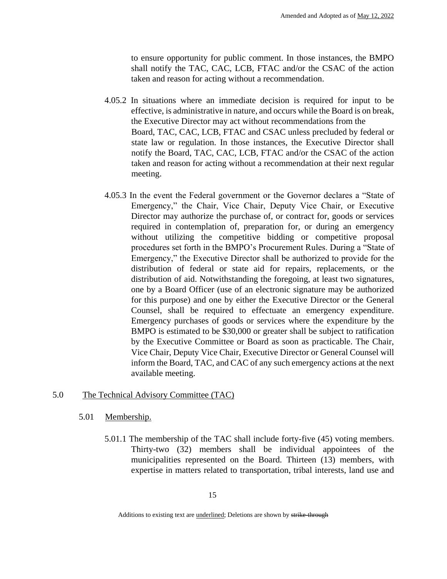to ensure opportunity for public comment. In those instances, the BMPO shall notify the TAC, CAC, LCB, FTAC and/or the CSAC of the action taken and reason for acting without a recommendation.

- 4.05.2 In situations where an immediate decision is required for input to be effective, is administrative in nature, and occurs while the Board is on break, the Executive Director may act without recommendations from the Board, TAC, CAC, LCB, FTAC and CSAC unless precluded by federal or state law or regulation. In those instances, the Executive Director shall notify the Board, TAC, CAC, LCB, FTAC and/or the CSAC of the action taken and reason for acting without a recommendation at their next regular meeting.
- 4.05.3 In the event the Federal government or the Governor declares a "State of Emergency," the Chair, Vice Chair, Deputy Vice Chair, or Executive Director may authorize the purchase of, or contract for, goods or services required in contemplation of, preparation for, or during an emergency without utilizing the competitive bidding or competitive proposal procedures set forth in the BMPO's Procurement Rules. During a "State of Emergency," the Executive Director shall be authorized to provide for the distribution of federal or state aid for repairs, replacements, or the distribution of aid. Notwithstanding the foregoing, at least two signatures, one by a Board Officer (use of an electronic signature may be authorized for this purpose) and one by either the Executive Director or the General Counsel, shall be required to effectuate an emergency expenditure. Emergency purchases of goods or services where the expenditure by the BMPO is estimated to be \$30,000 or greater shall be subject to ratification by the Executive Committee or Board as soon as practicable. The Chair, Vice Chair, Deputy Vice Chair, Executive Director or General Counsel will inform the Board, TAC, and CAC of any such emergency actions at the next available meeting.

# 5.0 The Technical Advisory Committee (TAC)

#### 5.01 Membership.

5.01.1 The membership of the TAC shall include forty-five (45) voting members. Thirty-two (32) members shall be individual appointees of the municipalities represented on the Board. Thirteen (13) members, with expertise in matters related to transportation, tribal interests, land use and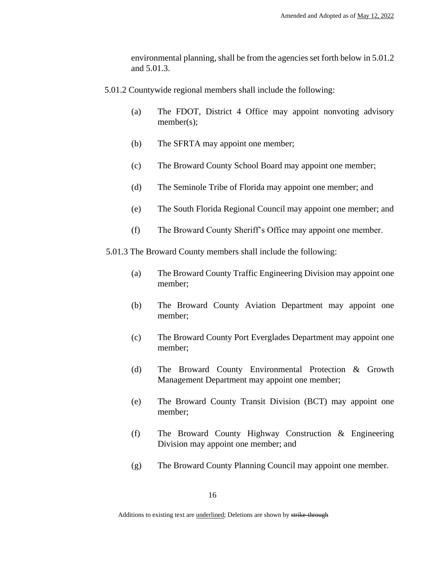environmental planning, shall be from the agencies set forth below in 5.01.2 and 5.01.3.

- 5.01.2 Countywide regional members shall include the following:
	- (a) The FDOT, District 4 Office may appoint nonvoting advisory member(s);
	- (b) The SFRTA may appoint one member;
	- (c) The Broward County School Board may appoint one member;
	- (d) The Seminole Tribe of Florida may appoint one member; and
	- (e) The South Florida Regional Council may appoint one member; and
	- (f) The Broward County Sheriff's Office may appoint one member.

5.01.3 The Broward County members shall include the following:

- (a) The Broward County Traffic Engineering Division may appoint one member;
- (b) The Broward County Aviation Department may appoint one member;
- (c) The Broward County Port Everglades Department may appoint one member;
- (d) The Broward County Environmental Protection & Growth Management Department may appoint one member;
- (e) The Broward County Transit Division (BCT) may appoint one member;
- (f) The Broward County Highway Construction & Engineering Division may appoint one member; and
- (g) The Broward County Planning Council may appoint one member.

Additions to existing text are *underlined*; Deletions are shown by strike-through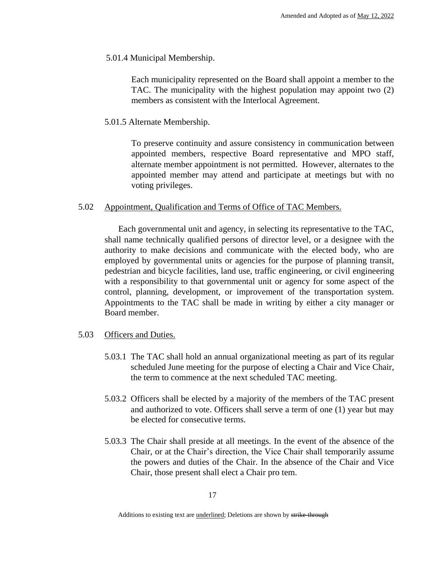5.01.4 Municipal Membership.

Each municipality represented on the Board shall appoint a member to the TAC. The municipality with the highest population may appoint two (2) members as consistent with the Interlocal Agreement.

5.01.5 Alternate Membership.

To preserve continuity and assure consistency in communication between appointed members, respective Board representative and MPO staff, alternate member appointment is not permitted. However, alternates to the appointed member may attend and participate at meetings but with no voting privileges.

5.02 Appointment, Qualification and Terms of Office of TAC Members.

Each governmental unit and agency, in selecting its representative to the TAC, shall name technically qualified persons of director level, or a designee with the authority to make decisions and communicate with the elected body, who are employed by governmental units or agencies for the purpose of planning transit, pedestrian and bicycle facilities, land use, traffic engineering, or civil engineering with a responsibility to that governmental unit or agency for some aspect of the control, planning, development, or improvement of the transportation system. Appointments to the TAC shall be made in writing by either a city manager or Board member.

#### 5.03 Officers and Duties.

- 5.03.1 The TAC shall hold an annual organizational meeting as part of its regular scheduled June meeting for the purpose of electing a Chair and Vice Chair, the term to commence at the next scheduled TAC meeting.
- 5.03.2 Officers shall be elected by a majority of the members of the TAC present and authorized to vote. Officers shall serve a term of one (1) year but may be elected for consecutive terms.
- 5.03.3 The Chair shall preside at all meetings. In the event of the absence of the Chair, or at the Chair's direction, the Vice Chair shall temporarily assume the powers and duties of the Chair. In the absence of the Chair and Vice Chair, those present shall elect a Chair pro tem.

Additions to existing text are *underlined*; Deletions are shown by strike-through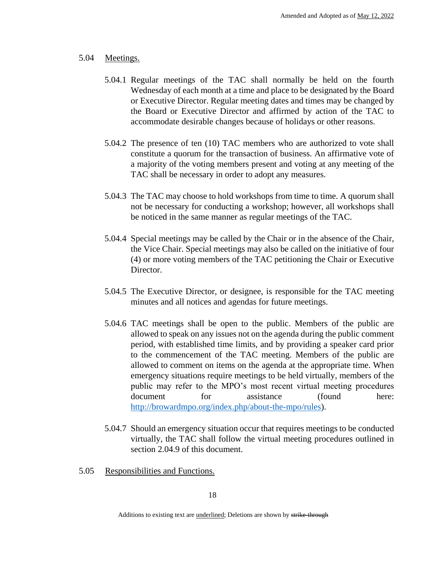#### 5.04 Meetings.

- 5.04.1 Regular meetings of the TAC shall normally be held on the fourth Wednesday of each month at a time and place to be designated by the Board or Executive Director. Regular meeting dates and times may be changed by the Board or Executive Director and affirmed by action of the TAC to accommodate desirable changes because of holidays or other reasons.
- 5.04.2 The presence of ten (10) TAC members who are authorized to vote shall constitute a quorum for the transaction of business. An affirmative vote of a majority of the voting members present and voting at any meeting of the TAC shall be necessary in order to adopt any measures.
- 5.04.3 The TAC may choose to hold workshops from time to time. A quorum shall not be necessary for conducting a workshop; however, all workshops shall be noticed in the same manner as regular meetings of the TAC.
- 5.04.4 Special meetings may be called by the Chair or in the absence of the Chair, the Vice Chair. Special meetings may also be called on the initiative of four (4) or more voting members of the TAC petitioning the Chair or Executive Director.
- 5.04.5 The Executive Director, or designee, is responsible for the TAC meeting minutes and all notices and agendas for future meetings.
- 5.04.6 TAC meetings shall be open to the public. Members of the public are allowed to speak on any issues not on the agenda during the public comment period, with established time limits, and by providing a speaker card prior to the commencement of the TAC meeting. Members of the public are allowed to comment on items on the agenda at the appropriate time. When emergency situations require meetings to be held virtually, members of the public may refer to the MPO's most recent virtual meeting procedures document for assistance (found here: http://browardmpo.org/index.php/about-the-mpo/rules).
- 5.04.7 Should an emergency situation occur that requires meetings to be conducted virtually, the TAC shall follow the virtual meeting procedures outlined in section 2.04.9 of this document.
- 5.05 Responsibilities and Functions.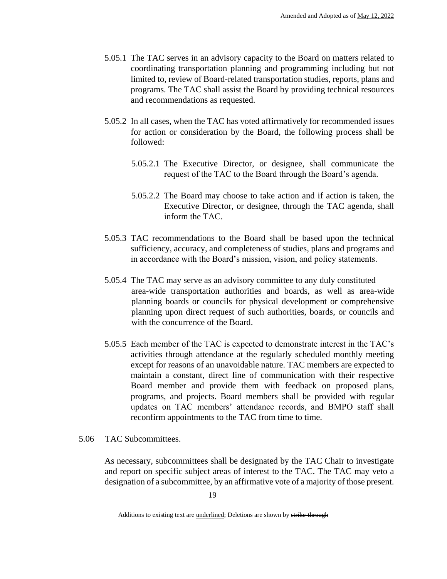- 5.05.1 The TAC serves in an advisory capacity to the Board on matters related to coordinating transportation planning and programming including but not limited to, review of Board-related transportation studies, reports, plans and programs. The TAC shall assist the Board by providing technical resources and recommendations as requested.
- 5.05.2 In all cases, when the TAC has voted affirmatively for recommended issues for action or consideration by the Board, the following process shall be followed:
	- 5.05.2.1 The Executive Director, or designee, shall communicate the request of the TAC to the Board through the Board's agenda.
	- 5.05.2.2 The Board may choose to take action and if action is taken, the Executive Director, or designee, through the TAC agenda, shall inform the TAC.
- 5.05.3 TAC recommendations to the Board shall be based upon the technical sufficiency, accuracy, and completeness of studies, plans and programs and in accordance with the Board's mission, vision, and policy statements.
- 5.05.4 The TAC may serve as an advisory committee to any duly constituted area-wide transportation authorities and boards, as well as area-wide planning boards or councils for physical development or comprehensive planning upon direct request of such authorities, boards, or councils and with the concurrence of the Board.
- 5.05.5 Each member of the TAC is expected to demonstrate interest in the TAC's activities through attendance at the regularly scheduled monthly meeting except for reasons of an unavoidable nature. TAC members are expected to maintain a constant, direct line of communication with their respective Board member and provide them with feedback on proposed plans, programs, and projects. Board members shall be provided with regular updates on TAC members' attendance records, and BMPO staff shall reconfirm appointments to the TAC from time to time.

# 5.06 TAC Subcommittees.

As necessary, subcommittees shall be designated by the TAC Chair to investigate and report on specific subject areas of interest to the TAC. The TAC may veto a designation of a subcommittee, by an affirmative vote of a majority of those present.

Additions to existing text are *underlined*; Deletions are shown by strike-through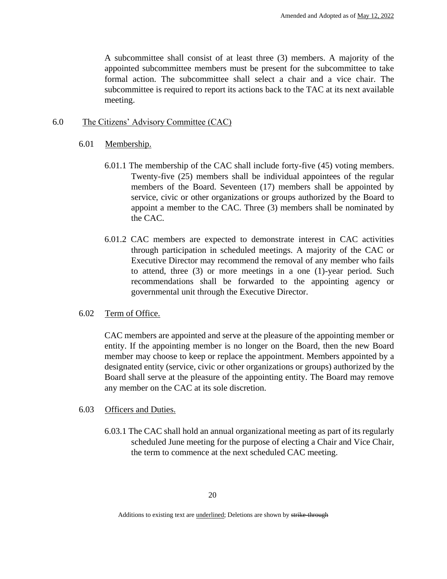A subcommittee shall consist of at least three (3) members. A majority of the appointed subcommittee members must be present for the subcommittee to take formal action. The subcommittee shall select a chair and a vice chair. The subcommittee is required to report its actions back to the TAC at its next available meeting.

# 6.0 The Citizens' Advisory Committee (CAC)

# 6.01 Membership.

- 6.01.1 The membership of the CAC shall include forty-five (45) voting members. Twenty-five (25) members shall be individual appointees of the regular members of the Board. Seventeen (17) members shall be appointed by service, civic or other organizations or groups authorized by the Board to appoint a member to the CAC. Three (3) members shall be nominated by the CAC.
- 6.01.2 CAC members are expected to demonstrate interest in CAC activities through participation in scheduled meetings. A majority of the CAC or Executive Director may recommend the removal of any member who fails to attend, three (3) or more meetings in a one (1)-year period. Such recommendations shall be forwarded to the appointing agency or governmental unit through the Executive Director.

# 6.02 Term of Office.

CAC members are appointed and serve at the pleasure of the appointing member or entity. If the appointing member is no longer on the Board, then the new Board member may choose to keep or replace the appointment. Members appointed by a designated entity (service, civic or other organizations or groups) authorized by the Board shall serve at the pleasure of the appointing entity. The Board may remove any member on the CAC at its sole discretion.

# 6.03 Officers and Duties.

6.03.1 The CAC shall hold an annual organizational meeting as part of its regularly scheduled June meeting for the purpose of electing a Chair and Vice Chair, the term to commence at the next scheduled CAC meeting.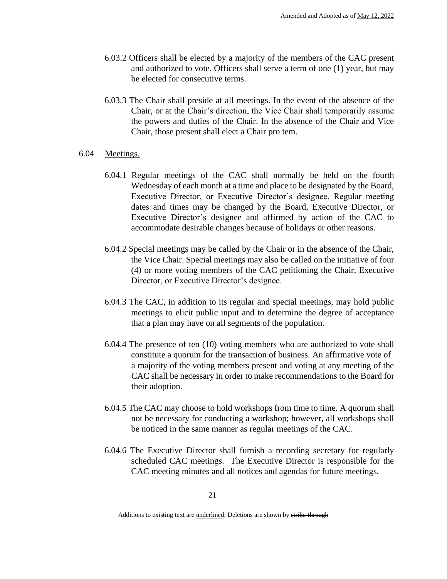- 6.03.2 Officers shall be elected by a majority of the members of the CAC present and authorized to vote. Officers shall serve a term of one (1) year, but may be elected for consecutive terms.
- 6.03.3 The Chair shall preside at all meetings. In the event of the absence of the Chair, or at the Chair's direction, the Vice Chair shall temporarily assume the powers and duties of the Chair. In the absence of the Chair and Vice Chair, those present shall elect a Chair pro tem.

#### 6.04 Meetings.

- 6.04.1 Regular meetings of the CAC shall normally be held on the fourth Wednesday of each month at a time and place to be designated by the Board, Executive Director, or Executive Director's designee. Regular meeting dates and times may be changed by the Board, Executive Director, or Executive Director's designee and affirmed by action of the CAC to accommodate desirable changes because of holidays or other reasons.
- 6.04.2 Special meetings may be called by the Chair or in the absence of the Chair, the Vice Chair. Special meetings may also be called on the initiative of four (4) or more voting members of the CAC petitioning the Chair, Executive Director, or Executive Director's designee.
- 6.04.3 The CAC, in addition to its regular and special meetings, may hold public meetings to elicit public input and to determine the degree of acceptance that a plan may have on all segments of the population.
- 6.04.4 The presence of ten (10) voting members who are authorized to vote shall constitute a quorum for the transaction of business. An affirmative vote of a majority of the voting members present and voting at any meeting of the CAC shall be necessary in order to make recommendations to the Board for their adoption.
- 6.04.5 The CAC may choose to hold workshops from time to time. A quorum shall not be necessary for conducting a workshop; however, all workshops shall be noticed in the same manner as regular meetings of the CAC.
- 6.04.6 The Executive Director shall furnish a recording secretary for regularly scheduled CAC meetings. The Executive Director is responsible for the CAC meeting minutes and all notices and agendas for future meetings.

Additions to existing text are *underlined*; Deletions are shown by strike-through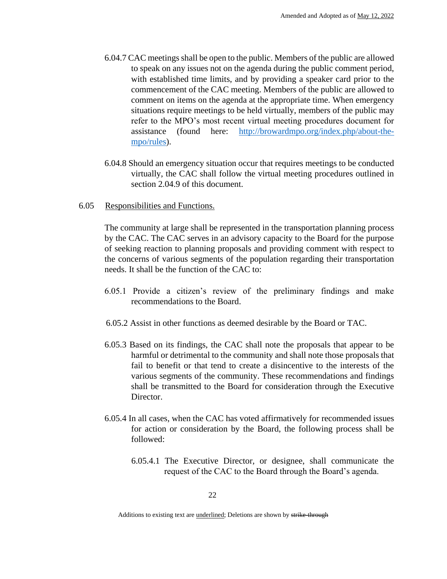- 6.04.7 CAC meetings shall be open to the public. Members of the public are allowed to speak on any issues not on the agenda during the public comment period, with established time limits, and by providing a speaker card prior to the commencement of the CAC meeting. Members of the public are allowed to comment on items on the agenda at the appropriate time. When emergency situations require meetings to be held virtually, members of the public may refer to the MPO's most recent virtual meeting procedures document for assistance (found here: http://browardmpo.org/index.php/about-thempo/rules).
- 6.04.8 Should an emergency situation occur that requires meetings to be conducted virtually, the CAC shall follow the virtual meeting procedures outlined in section 2.04.9 of this document.
- 6.05 Responsibilities and Functions.

The community at large shall be represented in the transportation planning process by the CAC. The CAC serves in an advisory capacity to the Board for the purpose of seeking reaction to planning proposals and providing comment with respect to the concerns of various segments of the population regarding their transportation needs. It shall be the function of the CAC to:

- 6.05.1 Provide a citizen's review of the preliminary findings and make recommendations to the Board.
- 6.05.2 Assist in other functions as deemed desirable by the Board or TAC.
- 6.05.3 Based on its findings, the CAC shall note the proposals that appear to be harmful or detrimental to the community and shall note those proposals that fail to benefit or that tend to create a disincentive to the interests of the various segments of the community. These recommendations and findings shall be transmitted to the Board for consideration through the Executive Director.
- 6.05.4 In all cases, when the CAC has voted affirmatively for recommended issues for action or consideration by the Board, the following process shall be followed:
	- 6.05.4.1 The Executive Director, or designee, shall communicate the request of the CAC to the Board through the Board's agenda.

Additions to existing text are *underlined*; Deletions are shown by strike-through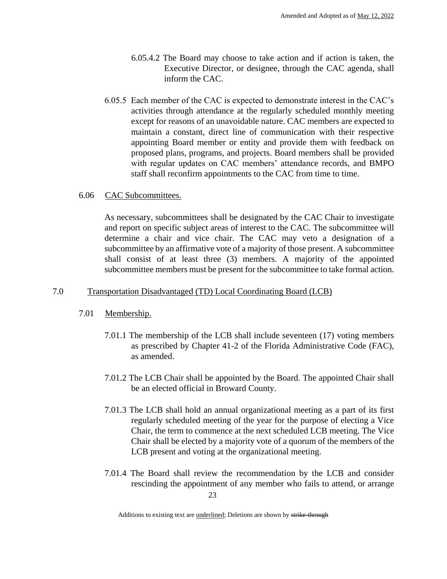- 6.05.4.2 The Board may choose to take action and if action is taken, the Executive Director, or designee, through the CAC agenda, shall inform the CAC.
- 6.05.5 Each member of the CAC is expected to demonstrate interest in the CAC's activities through attendance at the regularly scheduled monthly meeting except for reasons of an unavoidable nature. CAC members are expected to maintain a constant, direct line of communication with their respective appointing Board member or entity and provide them with feedback on proposed plans, programs, and projects. Board members shall be provided with regular updates on CAC members' attendance records, and BMPO staff shall reconfirm appointments to the CAC from time to time.

#### 6.06 CAC Subcommittees.

As necessary, subcommittees shall be designated by the CAC Chair to investigate and report on specific subject areas of interest to the CAC. The subcommittee will determine a chair and vice chair. The CAC may veto a designation of a subcommittee by an affirmative vote of a majority of those present. A subcommittee shall consist of at least three (3) members. A majority of the appointed subcommittee members must be present for the subcommittee to take formal action.

# 7.0 Transportation Disadvantaged (TD) Local Coordinating Board (LCB)

# 7.01 Membership.

- 7.01.1 The membership of the LCB shall include seventeen (17) voting members as prescribed by Chapter 41-2 of the Florida Administrative Code (FAC), as amended.
- 7.01.2 The LCB Chair shall be appointed by the Board. The appointed Chair shall be an elected official in Broward County.
- 7.01.3 The LCB shall hold an annual organizational meeting as a part of its first regularly scheduled meeting of the year for the purpose of electing a Vice Chair, the term to commence at the next scheduled LCB meeting. The Vice Chair shall be elected by a majority vote of a quorum of the members of the LCB present and voting at the organizational meeting.
- 23 7.01.4 The Board shall review the recommendation by the LCB and consider rescinding the appointment of any member who fails to attend, or arrange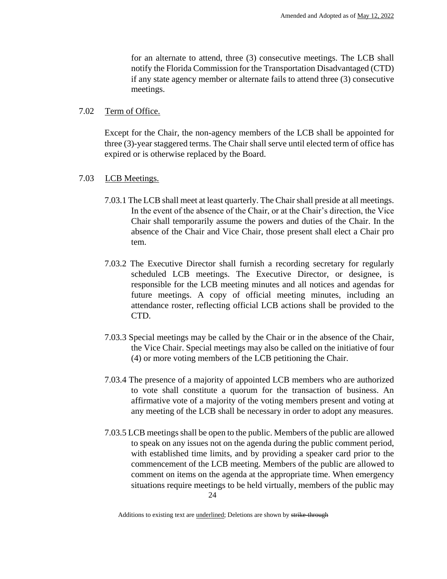for an alternate to attend, three (3) consecutive meetings. The LCB shall notify the Florida Commission for the Transportation Disadvantaged (CTD) if any state agency member or alternate fails to attend three (3) consecutive meetings.

#### 7.02 Term of Office.

Except for the Chair, the non-agency members of the LCB shall be appointed for three (3)-year staggered terms. The Chair shall serve until elected term of office has expired or is otherwise replaced by the Board.

# 7.03 LCB Meetings.

- 7.03.1 The LCB shall meet at least quarterly. The Chair shall preside at all meetings. In the event of the absence of the Chair, or at the Chair's direction, the Vice Chair shall temporarily assume the powers and duties of the Chair. In the absence of the Chair and Vice Chair, those present shall elect a Chair pro tem.
- 7.03.2 The Executive Director shall furnish a recording secretary for regularly scheduled LCB meetings. The Executive Director, or designee, is responsible for the LCB meeting minutes and all notices and agendas for future meetings. A copy of official meeting minutes, including an attendance roster, reflecting official LCB actions shall be provided to the CTD.
- 7.03.3 Special meetings may be called by the Chair or in the absence of the Chair, the Vice Chair. Special meetings may also be called on the initiative of four (4) or more voting members of the LCB petitioning the Chair.
- 7.03.4 The presence of a majority of appointed LCB members who are authorized to vote shall constitute a quorum for the transaction of business. An affirmative vote of a majority of the voting members present and voting at any meeting of the LCB shall be necessary in order to adopt any measures.
- 7.03.5 LCB meetings shall be open to the public. Members of the public are allowed to speak on any issues not on the agenda during the public comment period, with established time limits, and by providing a speaker card prior to the commencement of the LCB meeting. Members of the public are allowed to comment on items on the agenda at the appropriate time. When emergency situations require meetings to be held virtually, members of the public may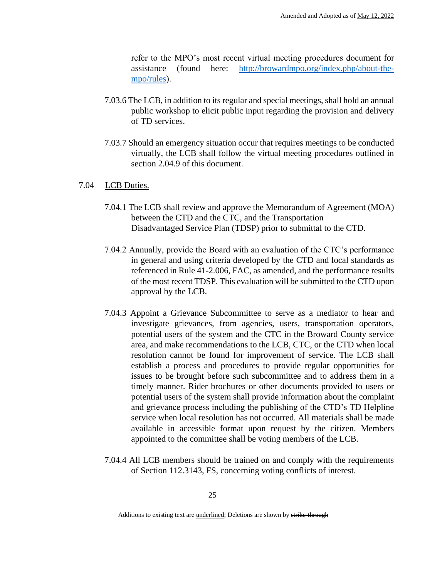refer to the MPO's most recent virtual meeting procedures document for assistance (found here: http://browardmpo.org/index.php/about-thempo/rules).

- 7.03.6 The LCB, in addition to its regular and special meetings, shall hold an annual public workshop to elicit public input regarding the provision and delivery of TD services.
- 7.03.7 Should an emergency situation occur that requires meetings to be conducted virtually, the LCB shall follow the virtual meeting procedures outlined in section 2.04.9 of this document.

#### 7.04 LCB Duties.

- 7.04.1 The LCB shall review and approve the Memorandum of Agreement (MOA) between the CTD and the CTC, and the Transportation Disadvantaged Service Plan (TDSP) prior to submittal to the CTD.
- 7.04.2 Annually, provide the Board with an evaluation of the CTC's performance in general and using criteria developed by the CTD and local standards as referenced in Rule 41-2.006, FAC, as amended, and the performance results of the most recent TDSP. This evaluation will be submitted to the CTD upon approval by the LCB.
- 7.04.3 Appoint a Grievance Subcommittee to serve as a mediator to hear and investigate grievances, from agencies, users, transportation operators, potential users of the system and the CTC in the Broward County service area, and make recommendations to the LCB, CTC, or the CTD when local resolution cannot be found for improvement of service. The LCB shall establish a process and procedures to provide regular opportunities for issues to be brought before such subcommittee and to address them in a timely manner. Rider brochures or other documents provided to users or potential users of the system shall provide information about the complaint and grievance process including the publishing of the CTD's TD Helpline service when local resolution has not occurred. All materials shall be made available in accessible format upon request by the citizen. Members appointed to the committee shall be voting members of the LCB.
- 7.04.4 All LCB members should be trained on and comply with the requirements of Section 112.3143, FS, concerning voting conflicts of interest.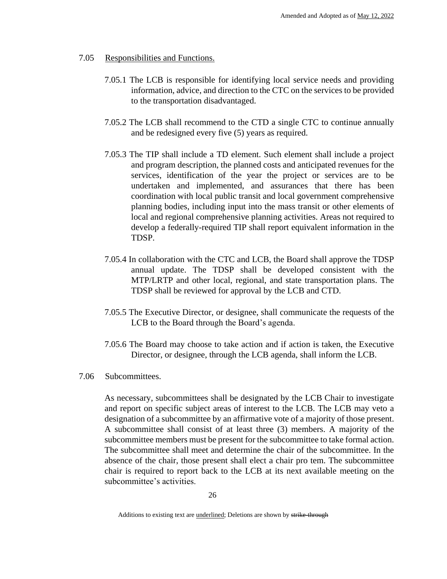- 7.05 Responsibilities and Functions.
	- 7.05.1 The LCB is responsible for identifying local service needs and providing information, advice, and direction to the CTC on the services to be provided to the transportation disadvantaged.
	- 7.05.2 The LCB shall recommend to the CTD a single CTC to continue annually and be redesigned every five (5) years as required.
	- 7.05.3 The TIP shall include a TD element. Such element shall include a project and program description, the planned costs and anticipated revenues for the services, identification of the year the project or services are to be undertaken and implemented, and assurances that there has been coordination with local public transit and local government comprehensive planning bodies, including input into the mass transit or other elements of local and regional comprehensive planning activities. Areas not required to develop a federally-required TIP shall report equivalent information in the TDSP.
	- 7.05.4 In collaboration with the CTC and LCB, the Board shall approve the TDSP annual update. The TDSP shall be developed consistent with the MTP/LRTP and other local, regional, and state transportation plans. The TDSP shall be reviewed for approval by the LCB and CTD.
	- 7.05.5 The Executive Director, or designee, shall communicate the requests of the LCB to the Board through the Board's agenda.
	- 7.05.6 The Board may choose to take action and if action is taken, the Executive Director, or designee, through the LCB agenda, shall inform the LCB.
- 7.06 Subcommittees.

As necessary, subcommittees shall be designated by the LCB Chair to investigate and report on specific subject areas of interest to the LCB. The LCB may veto a designation of a subcommittee by an affirmative vote of a majority of those present. A subcommittee shall consist of at least three (3) members. A majority of the subcommittee members must be present for the subcommittee to take formal action. The subcommittee shall meet and determine the chair of the subcommittee. In the absence of the chair, those present shall elect a chair pro tem. The subcommittee chair is required to report back to the LCB at its next available meeting on the subcommittee's activities.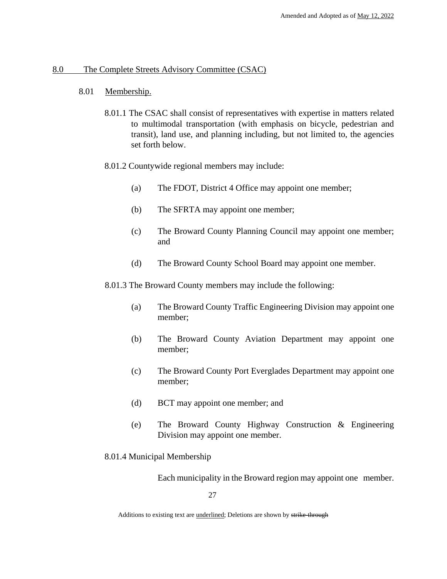#### 8.0 The Complete Streets Advisory Committee (CSAC)

#### 8.01 Membership.

8.01.1 The CSAC shall consist of representatives with expertise in matters related to multimodal transportation (with emphasis on bicycle, pedestrian and transit), land use, and planning including, but not limited to, the agencies set forth below.

#### 8.01.2 Countywide regional members may include:

- (a) The FDOT, District 4 Office may appoint one member;
- (b) The SFRTA may appoint one member;
- (c) The Broward County Planning Council may appoint one member; and
- (d) The Broward County School Board may appoint one member.

8.01.3 The Broward County members may include the following:

- (a) The Broward County Traffic Engineering Division may appoint one member;
- (b) The Broward County Aviation Department may appoint one member;
- (c) The Broward County Port Everglades Department may appoint one member;
- (d) BCT may appoint one member; and
- (e) The Broward County Highway Construction & Engineering Division may appoint one member.

8.01.4 Municipal Membership

Each municipality in the Broward region may appoint one member.

Additions to existing text are *underlined*; Deletions are shown by strike-through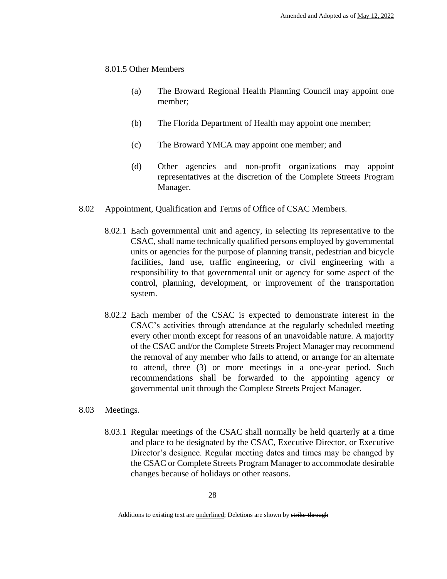## 8.01.5 Other Members

- (a) The Broward Regional Health Planning Council may appoint one member;
- (b) The Florida Department of Health may appoint one member;
- (c) The Broward YMCA may appoint one member; and
- (d) Other agencies and non-profit organizations may appoint representatives at the discretion of the Complete Streets Program Manager.

# 8.02 Appointment, Qualification and Terms of Office of CSAC Members.

- 8.02.1 Each governmental unit and agency, in selecting its representative to the CSAC, shall name technically qualified persons employed by governmental units or agencies for the purpose of planning transit, pedestrian and bicycle facilities, land use, traffic engineering, or civil engineering with a responsibility to that governmental unit or agency for some aspect of the control, planning, development, or improvement of the transportation system.
- 8.02.2 Each member of the CSAC is expected to demonstrate interest in the CSAC's activities through attendance at the regularly scheduled meeting every other month except for reasons of an unavoidable nature. A majority of the CSAC and/or the Complete Streets Project Manager may recommend the removal of any member who fails to attend, or arrange for an alternate to attend, three (3) or more meetings in a one-year period. Such recommendations shall be forwarded to the appointing agency or governmental unit through the Complete Streets Project Manager.

# 8.03 Meetings.

8.03.1 Regular meetings of the CSAC shall normally be held quarterly at a time and place to be designated by the CSAC, Executive Director, or Executive Director's designee. Regular meeting dates and times may be changed by the CSAC or Complete Streets Program Manager to accommodate desirable changes because of holidays or other reasons.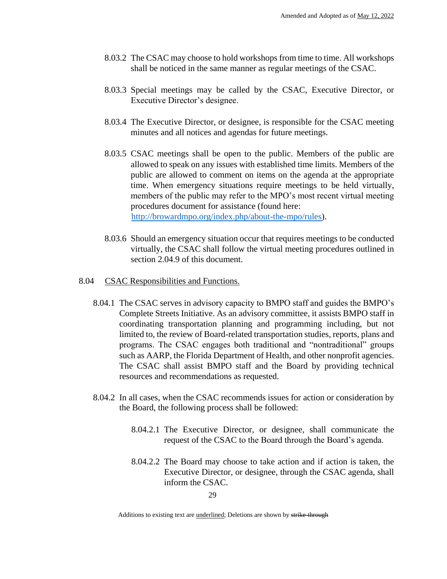- 8.03.2 The CSAC may choose to hold workshops from time to time. All workshops shall be noticed in the same manner as regular meetings of the CSAC.
- 8.03.3 Special meetings may be called by the CSAC, Executive Director, or Executive Director's designee.
- 8.03.4 The Executive Director, or designee, is responsible for the CSAC meeting minutes and all notices and agendas for future meetings.
- 8.03.5 CSAC meetings shall be open to the public. Members of the public are allowed to speak on any issues with established time limits. Members of the public are allowed to comment on items on the agenda at the appropriate time. When emergency situations require meetings to be held virtually, members of the public may refer to the MPO's most recent virtual meeting procedures document for assistance (found here: http://browardmpo.org/index.php/about-the-mpo/rules).
- 8.03.6 Should an emergency situation occur that requires meetings to be conducted virtually, the CSAC shall follow the virtual meeting procedures outlined in section 2.04.9 of this document.

#### 8.04 CSAC Responsibilities and Functions.

- 8.04.1 The CSAC serves in advisory capacity to BMPO staff and guides the BMPO's Complete Streets Initiative. As an advisory committee, it assists BMPO staff in coordinating transportation planning and programming including, but not limited to, the review of Board-related transportation studies, reports, plans and programs. The CSAC engages both traditional and "nontraditional" groups such as AARP, the Florida Department of Health, and other nonprofit agencies. The CSAC shall assist BMPO staff and the Board by providing technical resources and recommendations as requested.
- 8.04.2 In all cases, when the CSAC recommends issues for action or consideration by the Board, the following process shall be followed:
	- 8.04.2.1 The Executive Director, or designee, shall communicate the request of the CSAC to the Board through the Board's agenda.
	- 8.04.2.2 The Board may choose to take action and if action is taken, the Executive Director, or designee, through the CSAC agenda, shall inform the CSAC.

29

Additions to existing text are *underlined*; Deletions are shown by strike-through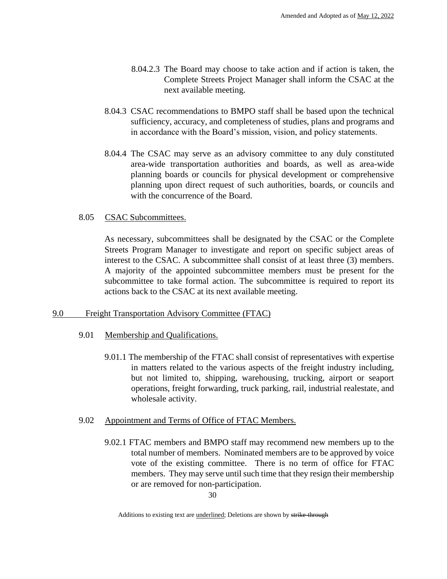- 8.04.2.3 The Board may choose to take action and if action is taken, the Complete Streets Project Manager shall inform the CSAC at the next available meeting.
- 8.04.3 CSAC recommendations to BMPO staff shall be based upon the technical sufficiency, accuracy, and completeness of studies, plans and programs and in accordance with the Board's mission, vision, and policy statements.
- 8.04.4 The CSAC may serve as an advisory committee to any duly constituted area-wide transportation authorities and boards, as well as area-wide planning boards or councils for physical development or comprehensive planning upon direct request of such authorities, boards, or councils and with the concurrence of the Board.

# 8.05 CSAC Subcommittees.

As necessary, subcommittees shall be designated by the CSAC or the Complete Streets Program Manager to investigate and report on specific subject areas of interest to the CSAC. A subcommittee shall consist of at least three (3) members. A majority of the appointed subcommittee members must be present for the subcommittee to take formal action. The subcommittee is required to report its actions back to the CSAC at its next available meeting.

# 9.0 Freight Transportation Advisory Committee (FTAC)

# 9.01 Membership and Qualifications.

9.01.1 The membership of the FTAC shall consist of representatives with expertise in matters related to the various aspects of the freight industry including, but not limited to, shipping, warehousing, trucking, airport or seaport operations, freight forwarding, truck parking, rail, industrial realestate, and wholesale activity.

# 9.02 Appointment and Terms of Office of FTAC Members.

9.02.1 FTAC members and BMPO staff may recommend new members up to the total number of members. Nominated members are to be approved by voice vote of the existing committee. There is no term of office for FTAC members. They may serve until such time that they resign their membership or are removed for non-participation.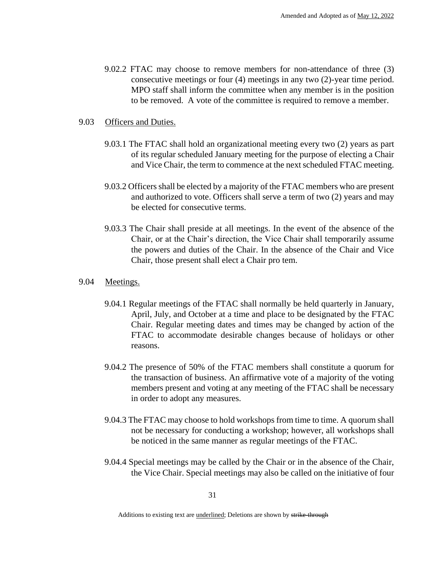9.02.2 FTAC may choose to remove members for non-attendance of three (3) consecutive meetings or four (4) meetings in any two (2)-year time period. MPO staff shall inform the committee when any member is in the position to be removed. A vote of the committee is required to remove a member.

#### 9.03 Officers and Duties.

- 9.03.1 The FTAC shall hold an organizational meeting every two (2) years as part of its regular scheduled January meeting for the purpose of electing a Chair and Vice Chair, the term to commence at the next scheduled FTAC meeting.
- 9.03.2 Officers shall be elected by a majority of the FTAC members who are present and authorized to vote. Officers shall serve a term of two (2) years and may be elected for consecutive terms.
- 9.03.3 The Chair shall preside at all meetings. In the event of the absence of the Chair, or at the Chair's direction, the Vice Chair shall temporarily assume the powers and duties of the Chair. In the absence of the Chair and Vice Chair, those present shall elect a Chair pro tem.

#### 9.04 Meetings.

- 9.04.1 Regular meetings of the FTAC shall normally be held quarterly in January, April, July, and October at a time and place to be designated by the FTAC Chair. Regular meeting dates and times may be changed by action of the FTAC to accommodate desirable changes because of holidays or other reasons.
- 9.04.2 The presence of 50% of the FTAC members shall constitute a quorum for the transaction of business. An affirmative vote of a majority of the voting members present and voting at any meeting of the FTAC shall be necessary in order to adopt any measures.
- 9.04.3 The FTAC may choose to hold workshops from time to time. A quorum shall not be necessary for conducting a workshop; however, all workshops shall be noticed in the same manner as regular meetings of the FTAC.
- 9.04.4 Special meetings may be called by the Chair or in the absence of the Chair, the Vice Chair. Special meetings may also be called on the initiative of four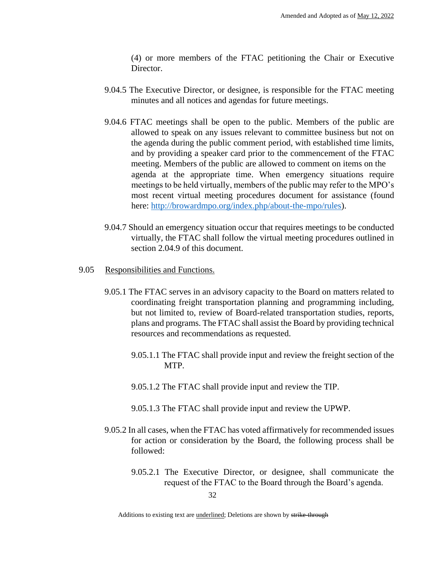(4) or more members of the FTAC petitioning the Chair or Executive Director.

- 9.04.5 The Executive Director, or designee, is responsible for the FTAC meeting minutes and all notices and agendas for future meetings.
- 9.04.6 FTAC meetings shall be open to the public. Members of the public are allowed to speak on any issues relevant to committee business but not on the agenda during the public comment period, with established time limits, and by providing a speaker card prior to the commencement of the FTAC meeting. Members of the public are allowed to comment on items on the agenda at the appropriate time. When emergency situations require meetings to be held virtually, members of the public may refer to the MPO's most recent virtual meeting procedures document for assistance (found here: http://browardmpo.org/index.php/about-the-mpo/rules).
- 9.04.7 Should an emergency situation occur that requires meetings to be conducted virtually, the FTAC shall follow the virtual meeting procedures outlined in section 2.04.9 of this document.
- 9.05 Responsibilities and Functions.
	- 9.05.1 The FTAC serves in an advisory capacity to the Board on matters related to coordinating freight transportation planning and programming including, but not limited to, review of Board-related transportation studies, reports, plans and programs. The FTAC shall assist the Board by providing technical resources and recommendations as requested.
		- 9.05.1.1 The FTAC shall provide input and review the freight section of the MTP.
		- 9.05.1.2 The FTAC shall provide input and review the TIP.
		- 9.05.1.3 The FTAC shall provide input and review the UPWP.
	- 9.05.2 In all cases, when the FTAC has voted affirmatively for recommended issues for action or consideration by the Board, the following process shall be followed:
		- 9.05.2.1 The Executive Director, or designee, shall communicate the request of the FTAC to the Board through the Board's agenda.

Additions to existing text are *underlined*; Deletions are shown by strike-through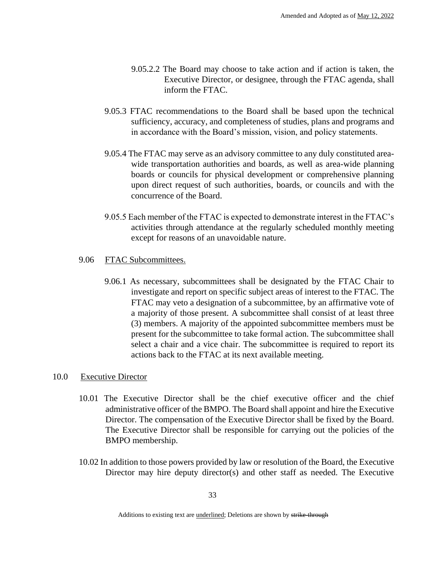- 9.05.2.2 The Board may choose to take action and if action is taken, the Executive Director, or designee, through the FTAC agenda, shall inform the FTAC.
- 9.05.3 FTAC recommendations to the Board shall be based upon the technical sufficiency, accuracy, and completeness of studies, plans and programs and in accordance with the Board's mission, vision, and policy statements.
- 9.05.4 The FTAC may serve as an advisory committee to any duly constituted areawide transportation authorities and boards, as well as area-wide planning boards or councils for physical development or comprehensive planning upon direct request of such authorities, boards, or councils and with the concurrence of the Board.
- 9.05.5 Each member of the FTAC is expected to demonstrate interest in the FTAC's activities through attendance at the regularly scheduled monthly meeting except for reasons of an unavoidable nature.

# 9.06 FTAC Subcommittees.

9.06.1 As necessary, subcommittees shall be designated by the FTAC Chair to investigate and report on specific subject areas of interest to the FTAC. The FTAC may veto a designation of a subcommittee, by an affirmative vote of a majority of those present. A subcommittee shall consist of at least three (3) members. A majority of the appointed subcommittee members must be present for the subcommittee to take formal action. The subcommittee shall select a chair and a vice chair. The subcommittee is required to report its actions back to the FTAC at its next available meeting.

# 10.0 Executive Director

- 10.01 The Executive Director shall be the chief executive officer and the chief administrative officer of the BMPO. The Board shall appoint and hire the Executive Director. The compensation of the Executive Director shall be fixed by the Board. The Executive Director shall be responsible for carrying out the policies of the BMPO membership.
- 10.02 In addition to those powers provided by law or resolution of the Board, the Executive Director may hire deputy director(s) and other staff as needed. The Executive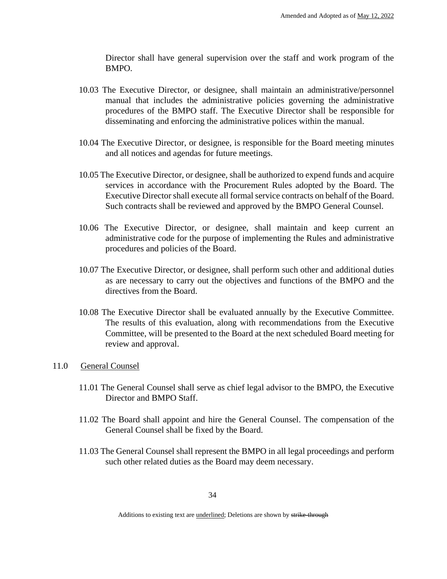Director shall have general supervision over the staff and work program of the BMPO.

- 10.03 The Executive Director, or designee, shall maintain an administrative/personnel manual that includes the administrative policies governing the administrative procedures of the BMPO staff. The Executive Director shall be responsible for disseminating and enforcing the administrative polices within the manual.
- 10.04 The Executive Director, or designee, is responsible for the Board meeting minutes and all notices and agendas for future meetings.
- 10.05 The Executive Director, or designee, shall be authorized to expend funds and acquire services in accordance with the Procurement Rules adopted by the Board. The Executive Director shall execute all formal service contracts on behalf of the Board. Such contracts shall be reviewed and approved by the BMPO General Counsel.
- 10.06 The Executive Director, or designee, shall maintain and keep current an administrative code for the purpose of implementing the Rules and administrative procedures and policies of the Board.
- 10.07 The Executive Director, or designee, shall perform such other and additional duties as are necessary to carry out the objectives and functions of the BMPO and the directives from the Board.
- 10.08 The Executive Director shall be evaluated annually by the Executive Committee. The results of this evaluation, along with recommendations from the Executive Committee, will be presented to the Board at the next scheduled Board meeting for review and approval.
- 11.0 General Counsel
	- 11.01 The General Counsel shall serve as chief legal advisor to the BMPO, the Executive Director and BMPO Staff.
	- 11.02 The Board shall appoint and hire the General Counsel. The compensation of the General Counsel shall be fixed by the Board.
	- 11.03 The General Counsel shall represent the BMPO in all legal proceedings and perform such other related duties as the Board may deem necessary.